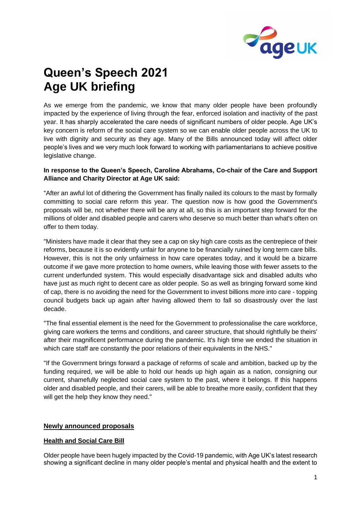

# **Queen's Speech 2021 Age UK briefing**

As we emerge from the pandemic, we know that many older people have been profoundly impacted by the experience of living through the fear, enforced isolation and inactivity of the past year. It has sharply accelerated the care needs of significant numbers of older people. Age UK's key concern is reform of the social care system so we can enable older people across the UK to live with dignity and security as they age. Many of the Bills announced today will affect older people's lives and we very much look forward to working with parliamentarians to achieve positive legislative change.

### **In response to the Queen's Speech, Caroline Abrahams, Co-chair of the Care and Support Alliance and Charity Director at Age UK said:**

"After an awful lot of dithering the Government has finally nailed its colours to the mast by formally committing to social care reform this year. The question now is how good the Government's proposals will be, not whether there will be any at all, so this is an important step forward for the millions of older and disabled people and carers who deserve so much better than what's often on offer to them today.

"Ministers have made it clear that they see a cap on sky high care costs as the centrepiece of their reforms, because it is so evidently unfair for anyone to be financially ruined by long term care bills. However, this is not the only unfairness in how care operates today, and it would be a bizarre outcome if we gave more protection to home owners, while leaving those with fewer assets to the current underfunded system. This would especially disadvantage sick and disabled adults who have just as much right to decent care as older people. So as well as bringing forward some kind of cap, there is no avoiding the need for the Government to invest billions more into care - topping council budgets back up again after having allowed them to fall so disastrously over the last decade.

"The final essential element is the need for the Government to professionalise the care workforce, giving care workers the terms and conditions, and career structure, that should rightfully be theirs' after their magnificent performance during the pandemic. It's high time we ended the situation in which care staff are constantly the poor relations of their equivalents in the NHS."

"If the Government brings forward a package of reforms of scale and ambition, backed up by the funding required, we will be able to hold our heads up high again as a nation, consigning our current, shamefully neglected social care system to the past, where it belongs. If this happens older and disabled people, and their carers, will be able to breathe more easily, confident that they will get the help they know they need."

### **Newly announced proposals**

#### **Health and Social Care Bill**

Older people have been hugely impacted by the Covid-19 pandemic, with Age UK's latest research showing a significant decline in many older people's mental and physical health and the extent to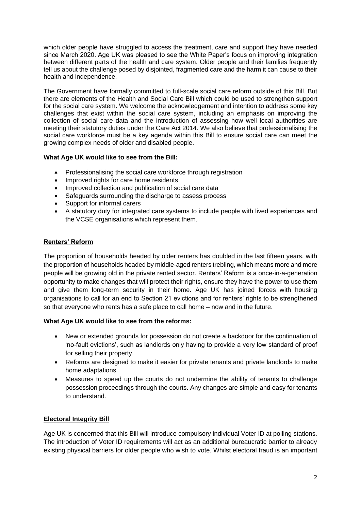which older people have struggled to access the treatment, care and support they have needed since March 2020. Age UK was pleased to see the White Paper's focus on improving integration between different parts of the health and care system. Older people and their families frequently tell us about the challenge posed by disjointed, fragmented care and the harm it can cause to their health and independence.

The Government have formally committed to full-scale social care reform outside of this Bill. But there are elements of the Health and Social Care Bill which could be used to strengthen support for the social care system. We welcome the acknowledgement and intention to address some key challenges that exist within the social care system, including an emphasis on improving the collection of social care data and the introduction of assessing how well local authorities are meeting their statutory duties under the Care Act 2014. We also believe that professionalising the social care workforce must be a key agenda within this Bill to ensure social care can meet the growing complex needs of older and disabled people.

## **What Age UK would like to see from the Bill:**

- Professionalising the social care workforce through registration
- Improved rights for care home residents
- Improved collection and publication of social care data
- Safeguards surrounding the discharge to assess process
- Support for informal carers
- A statutory duty for integrated care systems to include people with lived experiences and the VCSE organisations which represent them.

## **Renters' Reform**

The proportion of households headed by older renters has doubled in the last fifteen years, with the proportion of households headed by middle-aged renters trebling, which means more and more people will be growing old in the private rented sector. Renters' Reform is a once-in-a-generation opportunity to make changes that will protect their rights, ensure they have the power to use them and give them long-term security in their home. Age UK has joined forces with housing organisations to call for an end to Section 21 evictions and for renters' rights to be strengthened so that everyone who rents has a safe place to call home – now and in the future.

### **What Age UK would like to see from the reforms:**

- New or extended grounds for possession do not create a backdoor for the continuation of 'no-fault evictions', such as landlords only having to provide a very low standard of proof for selling their property.
- Reforms are designed to make it easier for private tenants and private landlords to make home adaptations.
- Measures to speed up the courts do not undermine the ability of tenants to challenge possession proceedings through the courts. Any changes are simple and easy for tenants to understand.

## **Electoral Integrity Bill**

Age UK is concerned that this Bill will introduce compulsory individual Voter ID at polling stations. The introduction of Voter ID requirements will act as an additional bureaucratic barrier to already existing physical barriers for older people who wish to vote. Whilst electoral fraud is an important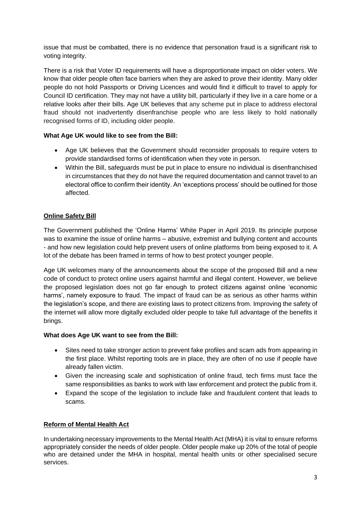issue that must be combatted, there is no evidence that personation fraud is a significant risk to voting integrity.

There is a risk that Voter ID requirements will have a disproportionate impact on older voters. We know that older people often face barriers when they are asked to prove their identity. Many older people do not hold Passports or Driving Licences and would find it difficult to travel to apply for Council ID certification. They may not have a utility bill, particularly if they live in a care home or a relative looks after their bills. Age UK believes that any scheme put in place to address electoral fraud should not inadvertently disenfranchise people who are less likely to hold nationally recognised forms of ID, including older people.

## **What Age UK would like to see from the Bill:**

- Age UK believes that the Government should reconsider proposals to require voters to provide standardised forms of identification when they vote in person.
- Within the Bill, safeguards must be put in place to ensure no individual is disenfranchised in circumstances that they do not have the required documentation and cannot travel to an electoral office to confirm their identity. An 'exceptions process' should be outlined for those affected.

## **Online Safety Bill**

The Government published the ['Online Harms' White Paper](https://www.gov.uk/government/consultations/online-harms-white-paper) in April 2019. Its principle purpose was to examine the issue of online harms – abusive, extremist and bullying content and accounts - and how new legislation could help prevent users of online platforms from being exposed to it. A lot of the debate has been framed in terms of how to best protect younger people.

Age UK welcomes many of the announcements about the scope of the proposed Bill and a new code of conduct to protect online users against harmful and illegal content. However, we believe the proposed legislation does not go far enough to protect citizens against online 'economic harms', namely exposure to fraud. The impact of fraud can be as serious as other harms within the legislation's scope, and there are existing laws to protect citizens from. Improving the safety of the internet will allow more digitally excluded older people to take full advantage of the benefits it brings.

### **What does Age UK want to see from the Bill:**

- Sites need to take stronger action to prevent fake profiles and scam ads from appearing in the first place. Whilst reporting tools are in place, they are often of no use if people have already fallen victim.
- Given the increasing scale and sophistication of online fraud, tech firms must face the same responsibilities as banks to work with law enforcement and protect the public from it.
- Expand the scope of the legislation to include fake and fraudulent content that leads to scams.

### **Reform of Mental Health Act**

In undertaking necessary improvements to the Mental Health Act (MHA) it is vital to ensure reforms appropriately consider the needs of older people. Older people make up 20% of the total of people who are detained under the MHA in hospital, mental health units or other specialised secure services.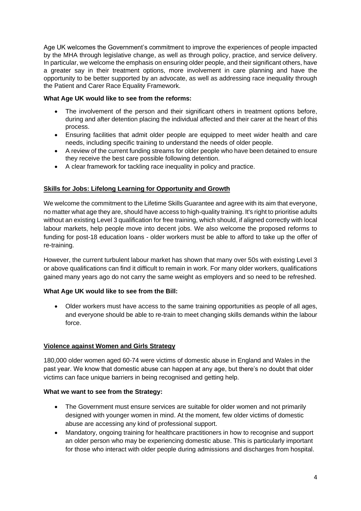Age UK welcomes the Government's commitment to improve the experiences of people impacted by the MHA through legislative change, as well as through policy, practice, and service delivery. In particular, we welcome the emphasis on ensuring older people, and their significant others, have a greater say in their treatment options, more involvement in care planning and have the opportunity to be better supported by an advocate, as well as addressing race inequality through the Patient and Carer Race Equality Framework.

## **What Age UK would like to see from the reforms:**

- The involvement of the person and their significant others in treatment options before, during and after detention placing the individual affected and their carer at the heart of this process.
- Ensuring facilities that admit older people are equipped to meet wider health and care needs, including specific training to understand the needs of older people.
- A review of the current funding streams for older people who have been detained to ensure they receive the best care possible following detention.
- A clear framework for tackling race inequality in policy and practice.

## **Skills for Jobs: Lifelong Learning for Opportunity and Growth**

We welcome the commitment to the Lifetime Skills Guarantee and agree with its aim that everyone, no matter what age they are, should have access to high-quality training. It's right to prioritise adults without an existing Level 3 qualification for free training, which should, if aligned correctly with local labour markets, help people move into decent jobs. We also welcome the proposed reforms to funding for post-18 education loans - older workers must be able to afford to take up the offer of re-training.

However, the current turbulent labour market has shown that many over 50s with existing Level 3 or above qualifications can find it difficult to remain in work. For many older workers, qualifications gained many years ago do not carry the same weight as employers and so need to be refreshed.

### **What Age UK would like to see from the Bill:**

• Older workers must have access to the same training opportunities as people of all ages, and everyone should be able to re-train to meet changing skills demands within the labour force.

### **Violence against Women and Girls Strategy**

180,000 older women aged 60-74 were victims of domestic abuse in England and Wales in the past year. We know that domestic abuse can happen at any age, but there's no doubt that older victims can face unique barriers in being recognised and getting help.

### **What we want to see from the Strategy:**

- The Government must ensure services are suitable for older women and not primarily designed with younger women in mind. At the moment, few older victims of domestic abuse are accessing any kind of professional support.
- Mandatory, ongoing training for healthcare practitioners in how to recognise and support an older person who may be experiencing domestic abuse. This is particularly important for those who interact with older people during admissions and discharges from hospital.